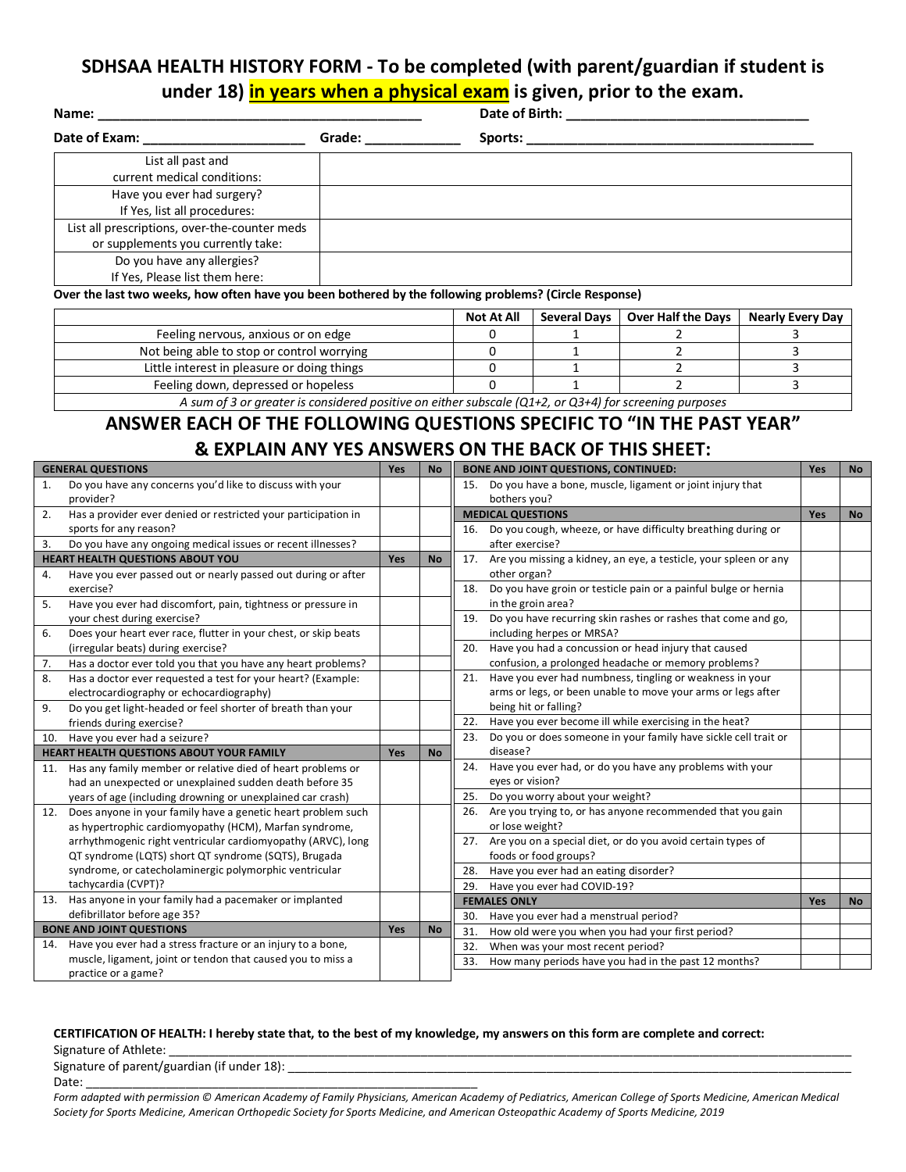## **SDHSAA HEALTH HISTORY FORM - To be completed (with parent/guardian if student is under 18) in years when a physical exam is given, prior to the exam.**

| Name:                                                                               |        | Date of Birth: |  |  |  |
|-------------------------------------------------------------------------------------|--------|----------------|--|--|--|
| Date of Exam:                                                                       | Grade: | Sports:        |  |  |  |
| List all past and<br>current medical conditions:                                    |        |                |  |  |  |
| Have you ever had surgery?<br>If Yes, list all procedures:                          |        |                |  |  |  |
| List all prescriptions, over-the-counter meds<br>or supplements you currently take: |        |                |  |  |  |
| Do you have any allergies?<br>If Yes, Please list them here:                        |        |                |  |  |  |

**Over the last two weeks, how often have you been bothered by the following problems? (Circle Response)**

|                                                                                                        | Not At All |  | Several Days   Over Half the Days | <b>Nearly Every Day</b> |
|--------------------------------------------------------------------------------------------------------|------------|--|-----------------------------------|-------------------------|
| Feeling nervous, anxious or on edge                                                                    |            |  |                                   |                         |
| Not being able to stop or control worrying                                                             |            |  |                                   |                         |
| Little interest in pleasure or doing things                                                            |            |  |                                   |                         |
| Feeling down, depressed or hopeless                                                                    |            |  |                                   |                         |
| A sum of 3 or greater is considered positive on either subscale (Q1+2, or Q3+4) for screening purposes |            |  |                                   |                         |

## **ANSWER EACH OF THE FOLLOWING QUESTIONS SPECIFIC TO "IN THE PAST YEAR" & EXPLAIN ANY YES ANSWERS ON THE BACK OF THIS SHEET:**

|     | <b>GENERAL QUESTIONS</b>                                              | Yes | <b>No</b> | <b>BONE AND JOINT QUESTIONS, CONTINUED:</b>                                   | Yes        | <b>No</b> |
|-----|-----------------------------------------------------------------------|-----|-----------|-------------------------------------------------------------------------------|------------|-----------|
| 1.  | Do you have any concerns you'd like to discuss with your<br>provider? |     |           | 15. Do you have a bone, muscle, ligament or joint injury that<br>bothers you? |            |           |
| 2.  | Has a provider ever denied or restricted your participation in        |     |           | <b>MEDICAL QUESTIONS</b>                                                      | Yes        | <b>No</b> |
|     | sports for any reason?                                                |     |           | Do you cough, wheeze, or have difficulty breathing during or<br>16.           |            |           |
| 3.  | Do you have any ongoing medical issues or recent illnesses?           |     |           | after exercise?                                                               |            |           |
|     | HEART HEALTH QUESTIONS ABOUT YOU                                      | Yes | <b>No</b> | 17. Are you missing a kidney, an eye, a testicle, your spleen or any          |            |           |
| 4.  | Have you ever passed out or nearly passed out during or after         |     |           | other organ?                                                                  |            |           |
|     | exercise?                                                             |     |           | Do you have groin or testicle pain or a painful bulge or hernia<br>18.        |            |           |
| 5.  | Have you ever had discomfort, pain, tightness or pressure in          |     |           | in the groin area?                                                            |            |           |
|     | your chest during exercise?                                           |     |           | Do you have recurring skin rashes or rashes that come and go,<br>19.          |            |           |
| 6.  | Does your heart ever race, flutter in your chest, or skip beats       |     |           | including herpes or MRSA?                                                     |            |           |
|     | (irregular beats) during exercise?                                    |     |           | Have you had a concussion or head injury that caused<br>20.                   |            |           |
| 7.  | Has a doctor ever told you that you have any heart problems?          |     |           | confusion, a prolonged headache or memory problems?                           |            |           |
| 8.  | Has a doctor ever requested a test for your heart? (Example:          |     |           | Have you ever had numbness, tingling or weakness in your<br>21.               |            |           |
|     | electrocardiography or echocardiography)                              |     |           | arms or legs, or been unable to move your arms or legs after                  |            |           |
| 9.  | Do you get light-headed or feel shorter of breath than your           |     |           | being hit or falling?                                                         |            |           |
|     | friends during exercise?                                              |     |           | Have you ever become ill while exercising in the heat?<br>22.                 |            |           |
| 10. | Have you ever had a seizure?                                          |     |           | Do you or does someone in your family have sickle cell trait or<br>23.        |            |           |
|     | HEART HEALTH QUESTIONS ABOUT YOUR FAMILY                              | Yes | <b>No</b> | disease?                                                                      |            |           |
| 11. | Has any family member or relative died of heart problems or           |     |           | Have you ever had, or do you have any problems with your<br>24.               |            |           |
|     | had an unexpected or unexplained sudden death before 35               |     |           | eyes or vision?                                                               |            |           |
|     | years of age (including drowning or unexplained car crash)            |     |           | Do you worry about your weight?<br>25.                                        |            |           |
| 12. | Does anyone in your family have a genetic heart problem such          |     |           | Are you trying to, or has anyone recommended that you gain<br>26.             |            |           |
|     | as hypertrophic cardiomyopathy (HCM), Marfan syndrome,                |     |           | or lose weight?                                                               |            |           |
|     | arrhythmogenic right ventricular cardiomyopathy (ARVC), long          |     |           | 27. Are you on a special diet, or do you avoid certain types of               |            |           |
|     | QT syndrome (LQTS) short QT syndrome (SQTS), Brugada                  |     |           | foods or food groups?                                                         |            |           |
|     | syndrome, or catecholaminergic polymorphic ventricular                |     |           | Have you ever had an eating disorder?<br>28.                                  |            |           |
|     | tachycardia (CVPT)?                                                   |     |           | Have you ever had COVID-19?<br>29.                                            |            |           |
| 13. | Has anyone in your family had a pacemaker or implanted                |     |           | <b>FEMALES ONLY</b>                                                           | <b>Yes</b> | <b>No</b> |
|     | defibrillator before age 35?                                          |     |           | Have you ever had a menstrual period?<br>30.                                  |            |           |
|     | <b>BONE AND JOINT QUESTIONS</b>                                       | Yes | <b>No</b> | How old were you when you had your first period?<br>31.                       |            |           |
| 14. | Have you ever had a stress fracture or an injury to a bone,           |     |           | When was your most recent period?<br>32.                                      |            |           |
|     | muscle, ligament, joint or tendon that caused you to miss a           |     |           | How many periods have you had in the past 12 months?<br>33.                   |            |           |
|     | practice or a game?                                                   |     |           |                                                                               |            |           |

### **CERTIFICATION OF HEALTH: I hereby state that, to the best of my knowledge, my answers on this form are complete and correct:**

Signature of Athlete:

Signature of parent/guardian (if under 18): Date: \_\_\_\_\_\_\_\_\_\_\_\_\_\_\_\_\_\_\_\_\_\_\_\_\_\_\_\_\_\_\_\_\_\_\_\_\_\_\_\_\_\_\_\_\_\_\_\_\_\_\_\_\_\_\_\_\_\_\_

*Form adapted with permission © American Academy of Family Physicians, American Academy of Pediatrics, American College of Sports Medicine, American Medical Society for Sports Medicine, American Orthopedic Society for Sports Medicine, and American Osteopathic Academy of Sports Medicine, 2019*